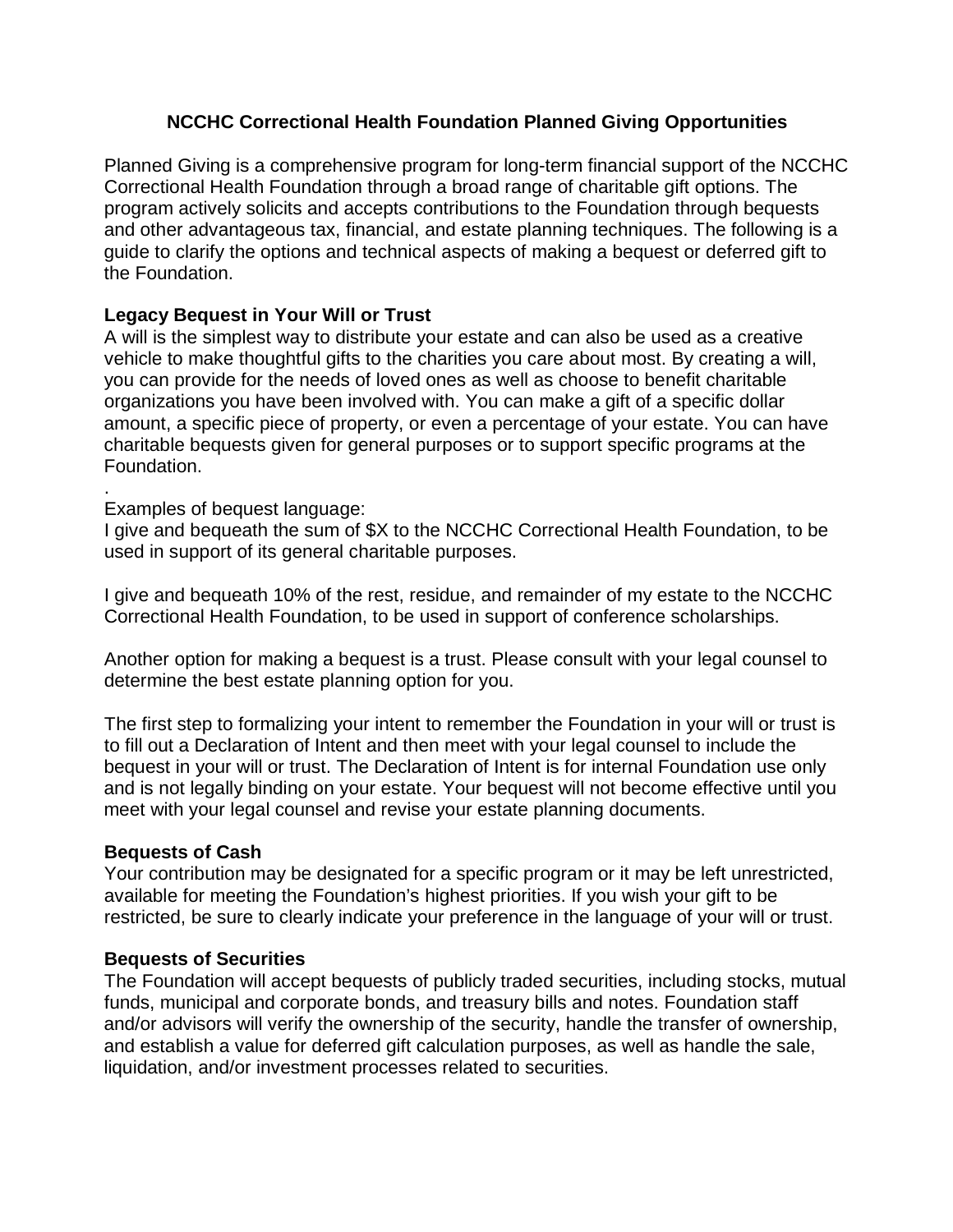# **NCCHC Correctional Health Foundation Planned Giving Opportunities**

Planned Giving is a comprehensive program for long-term financial support of the NCCHC Correctional Health Foundation through a broad range of charitable gift options. The program actively solicits and accepts contributions to the Foundation through bequests and other advantageous tax, financial, and estate planning techniques. The following is a guide to clarify the options and technical aspects of making a bequest or deferred gift to the Foundation.

### **Legacy Bequest in Your Will or Trust**

A will is the simplest way to distribute your estate and can also be used as a creative vehicle to make thoughtful gifts to the charities you care about most. By creating a will, you can provide for the needs of loved ones as well as choose to benefit charitable organizations you have been involved with. You can make a gift of a specific dollar amount, a specific piece of property, or even a percentage of your estate. You can have charitable bequests given for general purposes or to support specific programs at the Foundation.

#### . Examples of bequest language:

I give and bequeath the sum of \$X to the NCCHC Correctional Health Foundation, to be used in support of its general charitable purposes.

I give and bequeath 10% of the rest, residue, and remainder of my estate to the NCCHC Correctional Health Foundation, to be used in support of conference scholarships.

Another option for making a bequest is a trust. Please consult with your legal counsel to determine the best estate planning option for you.

The first step to formalizing your intent to remember the Foundation in your will or trust is to fill out a Declaration of Intent and then meet with your legal counsel to include the bequest in your will or trust. The Declaration of Intent is for internal Foundation use only and is not legally binding on your estate. Your bequest will not become effective until you meet with your legal counsel and revise your estate planning documents.

### **Bequests of Cash**

Your contribution may be designated for a specific program or it may be left unrestricted, available for meeting the Foundation's highest priorities. If you wish your gift to be restricted, be sure to clearly indicate your preference in the language of your will or trust.

### **Bequests of Securities**

The Foundation will accept bequests of publicly traded securities, including stocks, mutual funds, municipal and corporate bonds, and treasury bills and notes. Foundation staff and/or advisors will verify the ownership of the security, handle the transfer of ownership, and establish a value for deferred gift calculation purposes, as well as handle the sale, liquidation, and/or investment processes related to securities.